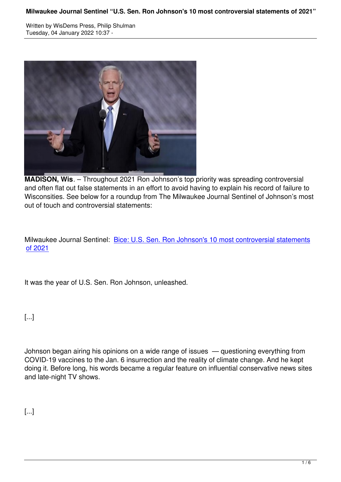

**MADISON, Wis**. – Throughout 2021 Ron Johnson's top priority was spreading controversial and often flat out false statements in an effort to avoid having to explain his record of failure to Wisconsities. See below for a roundup from The Milwaukee Journal Sentinel of Johnson's most out of touch and controversial statements:

Milwaukee Journal Sentinel: Bice: U.S. Sen. Ron Johnson's 10 most controversial statements of 2021

[It was th](https://u1584542.ct.sendgrid.net/ss/c/atcYNHk4Eh2YdGnwBh-YDJtWGW1u1NjOC8y8DBdqDoauz8BvPGKLQQi8JII3dma-GfxRvtf5Dot2H1oZbrGB4g7aCoVK3qPWDJ3hhwEH_S7NUV7eGaViLS6-nTkwJJM-bFxWRWP7kps2cA9bU6T1Sbbhi7wJncge3rid6eHUe9geS8N1btdbHoMBhU7yvEnNMtRLc9RjdSfUN3iP7qfZCrLH0X4bAwhVC7-8odOtwP-n3O-2gepqivFAbH5CLDb-8B9cKS0--uTqqL7VNzoYoWITBFM_IEhYFqjJK_2PQhXuP3Vpk-Mso84Mc1Mg6BmomwD8NwtG5INUUQ-yr-N9kVfjMS3ofofRuRtXyTTYoGDkLPp2HoAIW80K6INdb6WIbaQlYIzfNqH1pY329f74xOou3UiaV6ZR1uX4hhLokdeOv7idxvpLJWVxvWZoJN_vmp4kDrW05XmZ96O7OpIBmhN45GufcQBC4Yyf0CFrHVVZmpPBIbfijs79xxhV0AHmDFRIgFx07JpVkDCZIp4bBQ/3ie/pPW--dPzRvm40kSSkhXqYA/h1/F976JCLzXoGp4oT4zA7y6h6B3Otj3zu1uYeRnYtZbkc)e year of U.S. Sen. Ron Johnson, unleashed.

[...]

Johnson began airing his opinions on a wide range of issues — questioning everything from COVID-19 vaccines to the Jan. 6 insurrection and the reality of climate change. And he kept doing it. Before long, his words became a regular feature on influential conservative news sites and late-night TV shows.

[...]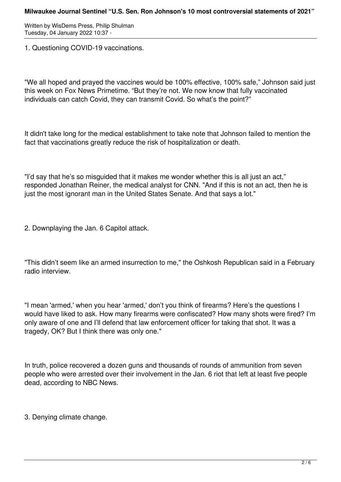1. Questioning COVID-19 vaccinations.

"We all hoped and prayed the vaccines would be 100% effective, 100% safe," Johnson said just this week on Fox News Primetime. "But they're not. We now know that fully vaccinated individuals can catch Covid, they can transmit Covid. So what's the point?"

It didn't take long for the medical establishment to take note that Johnson failed to mention the fact that vaccinations greatly reduce the risk of hospitalization or death.

"I'd say that he's so misguided that it makes me wonder whether this is all just an act," responded Jonathan Reiner, the medical analyst for CNN. "And if this is not an act, then he is just the most ignorant man in the United States Senate. And that says a lot."

2. Downplaying the Jan. 6 Capitol attack.

"This didn't seem like an armed insurrection to me," the Oshkosh Republican said in a February radio interview.

"I mean 'armed,' when you hear 'armed,' don't you think of firearms? Here's the questions I would have liked to ask. How many firearms were confiscated? How many shots were fired? I'm only aware of one and I'll defend that law enforcement officer for taking that shot. It was a tragedy, OK? But I think there was only one."

In truth, police recovered a dozen guns and thousands of rounds of ammunition from seven people who were arrested over their involvement in the Jan. 6 riot that left at least five people dead, according to NBC News.

3. Denying climate change.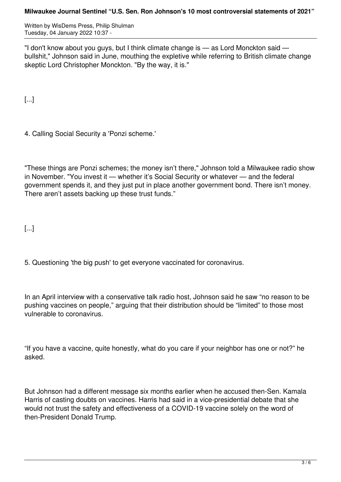"I don't know about you guys, but I think climate change is — as Lord Monckton said bullshit," Johnson said in June, mouthing the expletive while referring to British climate change skeptic Lord Christopher Monckton. "By the way, it is."

[...]

4. Calling Social Security a 'Ponzi scheme.'

"These things are Ponzi schemes; the money isn't there," Johnson told a Milwaukee radio show in November. "You invest it — whether it's Social Security or whatever — and the federal government spends it, and they just put in place another government bond. There isn't money. There aren't assets backing up these trust funds."

[...]

5. Questioning 'the big push' to get everyone vaccinated for coronavirus.

In an April interview with a conservative talk radio host, Johnson said he saw "no reason to be pushing vaccines on people," arguing that their distribution should be "limited" to those most vulnerable to coronavirus.

"If you have a vaccine, quite honestly, what do you care if your neighbor has one or not?" he asked.

But Johnson had a different message six months earlier when he accused then-Sen. Kamala Harris of casting doubts on vaccines. Harris had said in a vice-presidential debate that she would not trust the safety and effectiveness of a COVID-19 vaccine solely on the word of then-President Donald Trump.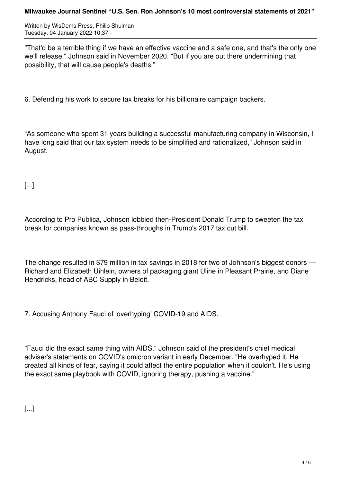## **Milwaukee Journal Sentinel "U.S. Sen. Ron Johnson's 10 most controversial statements of 2021"**

Written by WisDems Press, Philip Shulman Tuesday, 04 January 2022 10:37 -

"That'd be a terrible thing if we have an effective vaccine and a safe one, and that's the only one we'll release," Johnson said in November 2020. "But if you are out there undermining that possibility, that will cause people's deaths."

6. Defending his work to secure tax breaks for his billionaire campaign backers.

"As someone who spent 31 years building a successful manufacturing company in Wisconsin, I have long said that our tax system needs to be simplified and rationalized," Johnson said in August.

[...]

According to Pro Publica, Johnson lobbied then-President Donald Trump to sweeten the tax break for companies known as pass-throughs in Trump's 2017 tax cut bill.

The change resulted in \$79 million in tax savings in 2018 for two of Johnson's biggest donors  $\cdot$ Richard and Elizabeth Uihlein, owners of packaging giant Uline in Pleasant Prairie, and Diane Hendricks, head of ABC Supply in Beloit.

7. Accusing Anthony Fauci of 'overhyping' COVID-19 and AIDS.

"Fauci did the exact same thing with AIDS," Johnson said of the president's chief medical adviser's statements on COVID's omicron variant in early December. "He overhyped it. He created all kinds of fear, saying it could affect the entire population when it couldn't. He's using the exact same playbook with COVID, ignoring therapy, pushing a vaccine."

[...]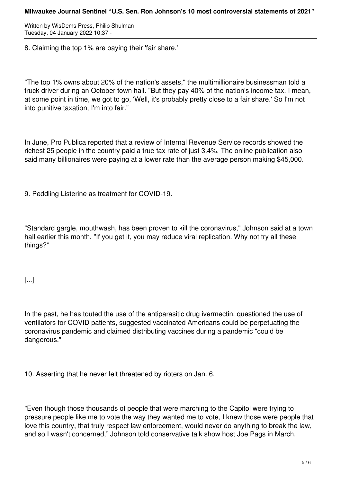8. Claiming the top 1% are paying their 'fair share.'

"The top 1% owns about 20% of the nation's assets," the multimillionaire businessman told a truck driver during an October town hall. "But they pay 40% of the nation's income tax. I mean, at some point in time, we got to go, 'Well, it's probably pretty close to a fair share.' So I'm not into punitive taxation, I'm into fair."

In June, Pro Publica reported that a review of Internal Revenue Service records showed the richest 25 people in the country paid a true tax rate of just 3.4%. The online publication also said many billionaires were paying at a lower rate than the average person making \$45,000.

9. Peddling Listerine as treatment for COVID-19.

"Standard gargle, mouthwash, has been proven to kill the coronavirus," Johnson said at a town hall earlier this month. "If you get it, you may reduce viral replication. Why not try all these things?"

[...]

In the past, he has touted the use of the antiparasitic drug ivermectin, questioned the use of ventilators for COVID patients, suggested vaccinated Americans could be perpetuating the coronavirus pandemic and claimed distributing vaccines during a pandemic "could be dangerous."

10. Asserting that he never felt threatened by rioters on Jan. 6.

"Even though those thousands of people that were marching to the Capitol were trying to pressure people like me to vote the way they wanted me to vote, I knew those were people that love this country, that truly respect law enforcement, would never do anything to break the law, and so I wasn't concerned," Johnson told conservative talk show host Joe Pags in March.